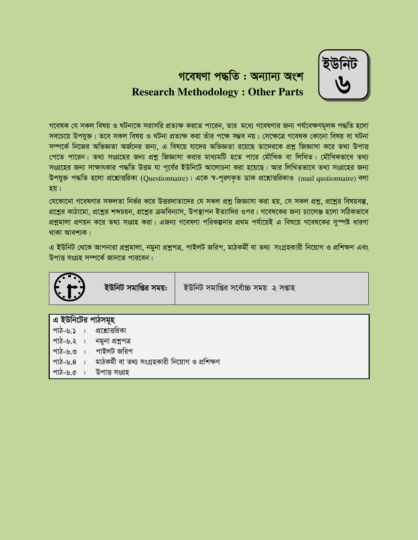গবেষণা পদ্ধতি: অন্যান্য অংশ **Research Methodology: Other Parts** 

গবেষক যে সকল বিষয় ও ঘটনাকে সরাসরি প্রত্যক্ষ করতে পারেন, তার মধ্যে গবেষণার জন্য পর্যবেক্ষণমূলক পদ্ধতি হলো সবচেয়ে উপযুক্ত। তবে সকল বিষয় ও ঘটনা প্রত্যক্ষ করা তাঁর পক্ষে সম্ভব নয়। সেক্ষেত্রে গবেষক কোনো বিষয় বা ঘটনা সম্পর্কে নিজের অভিজ্ঞতা অর্জনের জন্য, এ বিষয়ে যাদের অভিজ্ঞতা রয়েছে তাদেরকে প্রশ্ন জিজ্ঞাসা করে তথ্য উপাত্ত পেতে পারেন। তথ্য সংগ্রহের জন্য প্রশ্ন জিজ্ঞাসা করার মাধ্যমটি হতে পারে মৌথিক বা লিখিত। মৌখিকভাবে তথ্য সংগ্রহের জন্য সাক্ষাৎকার পদ্ধতি উত্তম যা পূর্বের ইউনিটে আলোচনা করা হয়েছে। আর লিখিতভাবে তথ্য সংগ্রহের জন্য উপযুক্ত পদ্ধতি হলো প্রশ্নোত্তরিকা (Questionnaire)। একে স্ব-পূরণকৃত ডাক প্রশ্নোত্তরিকাও (mail gustionnaire) বলা হয়।

যেকোনো গবেষণার সফলতা নির্ভর করে উত্তরদাতাদের যে সকল প্রশ্ন জিজ্ঞাসা করা হয়, সে সকল প্রশ্ন, প্রশ্নের বিষয়বস্তু, প্রশ্নের কাঠামো, প্রশ্নের শব্দচয়ন, প্রশ্নের ক্রমবিন্যাস, উপস্থাপন ইত্যাদির ওপর। গবেষকের জন্য চ্যালেঞ্জ হলো সঠিকভাবে প্রশ্নামালা প্রণয়ন করে তথ্য সংগ্রহ করা। এজন্য গবেষণা পরিকল্পনার প্রথম পর্যায়েই এ বিষয়ে গবেষকের সুস্পষ্ট ধারণা থাকা আবশ্যক।

এ ইউনিট থেকে আপনারা প্রশ্নমালা, নমুনা প্রশ্নপত্র, পাইলট জরিপ, মাঠকর্মী বা তথ্য সংগ্রহকারী নিয়োগ ও প্রশিক্ষণ এবং উপাত্ত সংগ্ৰহ সম্পৰ্কে জানতে পাৱবেন।

| T.                                                                                                              | ইউনিট সমাপ্তির সময়: | ইউনিট সমাপ্তির সর্বোচ্চ সময় ২ সপ্তাহ |
|-----------------------------------------------------------------------------------------------------------------|----------------------|---------------------------------------|
|                                                                                                                 |                      |                                       |
| এ ইউনিটের পাঠসমূহ                                                                                               |                      |                                       |
| পাঠ-৬.১ : প্রশ্নোত্তরিকা                                                                                        |                      |                                       |
| the contract of the contract of the contract of the contract of the contract of the contract of the contract of |                      |                                       |

- পাঠ-৬.২ : নমুনা প্ৰশ্নপত্ৰ
- পাঠ-৬.৩ : পাইলট জরিপ
- পাঠ-৬.৪ : মাঠকৰ্মী বা তথ্য সংগ্ৰহকারী নিয়োগ ও প্ৰশিক্ষণ
- পাঠ-৬.৫ : উপাত্ত সংগ্ৰহ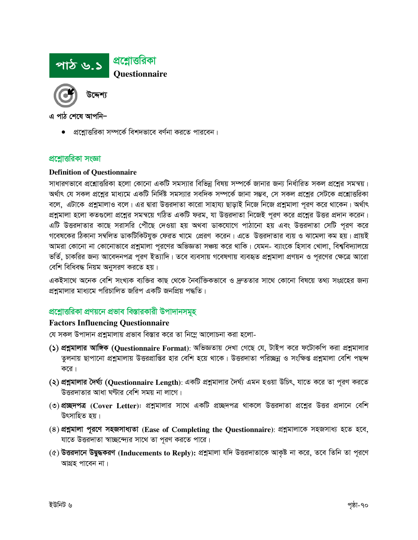

• প্রশ্নোত্তরিকা সম্পর্কে বিশদভাবে বর্ণনা করতে পারবেন।

#### প্রশ্নোত্তরিকা সংজ্ঞা

#### **Definition of Questionnaire**

সাধারণভাবে প্রশ্নোত্তরিকা হলো কোনো একটি সমস্যার বিভিন্ন বিষয় সম্পর্কে জানার জন্য নির্ধারিত সকল প্রশ্নের সমন্বয়। অর্থাৎ যে সকল প্রশ্নের মাধ্যমে একটি নির্দিষ্ট সমস্যার সবদিক সম্পর্কে জানা সম্ভব, সে সকল প্রশ্নের সেটকে প্রশ্নোত্তরিকা বলে, এটাকে প্রশ্নমালাও বলে। এর দ্বারা উত্তরদাতা কারো সাহায্য ছাড়াই নিজে নিজে প্রশ্নমালা পূরণ করে থাকেন। অর্থাৎ প্রশ্নমালা হলো কতগুলো প্রশ্নের সমন্বয়ে গঠিত একটি ফরম, যা উত্তরদাতা নিজেই পূরণ করে প্রশ্নের উত্তর প্রদান করেন। এটি উত্তরদাতার কাছে সরাসরি পৌঁছে দেওয়া হয় অথবা ডাকযোগে পাঠানো হয় এবং উত্তরদাতা সেটি পূরণ করে গবেষকের ঠিকানা সম্বলিত ডাকটিকিটযুক্ত ফেরত খামে প্রেরণ করেন। এতে উত্তরদাতার ব্যয় ও ঝামেলা কম হয়। প্রায়ই আমরা কোনো না কোনোভাবে প্রশ্নমালা পূরণের অভিজ্ঞতা সঞ্চয় করে থাকি। যেমন- ব্যাংকে হিসাব খোলা, বিশ্ববিদ্যালয়ে ভর্তি, চাকরির জন্য আবেদনপত্র পূরণ ইত্যাদি। তবে ব্যবসায় গবেষণায় ব্যবহৃত প্রশ্নমালা প্রণয়ন ও পূরণের ক্ষেত্রে আরো বেশি বিধিবদ্ধ নিয়ম অনুসরণ করতে হয়।

একইসাথে অনেক বেশি সংখ্যক ব্যক্তির কাছ থেকে নৈব্যক্তিকভাবে ও দ্রুততার সাথে কোনো বিষয়ে তথ্য সংগ্রহের জন্য প্রশ্নমালার মাধ্যমে পরিচালিত জরিপ একটি জনপ্রিয় পদ্ধতি।

## প্রশ্নোত্তরিকা প্রণয়নে প্রভাব বিস্তারকারী উপাদানসমূহ

## **Factors Influencing Questionnaire**

যে সকল উপাদান প্রশ্নমালায় প্রভাব বিস্তার করে তা নিম্নে আলোচনা করা হলো-

- (১) প্রশ্নমালার আঙ্গিক (Questionnaire Format): অভিজ্ঞতায় দেখা গেছে যে, টাইপ করে ফটোকপি করা প্রশ্নমালার তুলনায় ছাপানো প্রশ্নমালায় উত্তরপ্রাপ্তির হার বেশি হয়ে থাকে। উত্তরদাতা পরিচ্ছন্ন ও সংক্ষিপ্ত প্রশ্নমালা বেশি পছন্দ করে।
- (২) **প্রশ্নমালার দৈর্ঘ্য (Questionnaire Length**): একটি প্রশ্নমালার দৈর্ঘ্য এমন হওয়া উচিৎ, যাতে করে তা পূরণ করতে উত্তরদাতার আধা ঘণ্টার বেশি সময় না লাগে।
- (৩) প্র**চ্ছদপত্র (Cover Letter): প্রশ্ন**যালার সাথে একটি প্রচ্ছদপত্র থাকলে উত্তরদাতা প্রশ্নের উত্তর প্রদানে বেশি উৎসাহিত হয়।
- $(8)$  প্রশ্নমালা পূরণে সহজসাধ্যতা (Ease of Completing the Questionnaire): প্রশ্নমালাকে সহজসাধ্য হতে হবে, যাতে উত্তরদাতা স্বাচ্ছন্দ্যের সাথে তা পূরণ করতে পারে।
- (৫) উত্তরদানে উদ্বুদ্ধকরণ (Inducements to Reply): প্রশ্নমালা যদি উত্তরদাতাকে আকৃষ্ট না করে, তবে তিনি তা পূরণে আগ্রহ পাবেন না।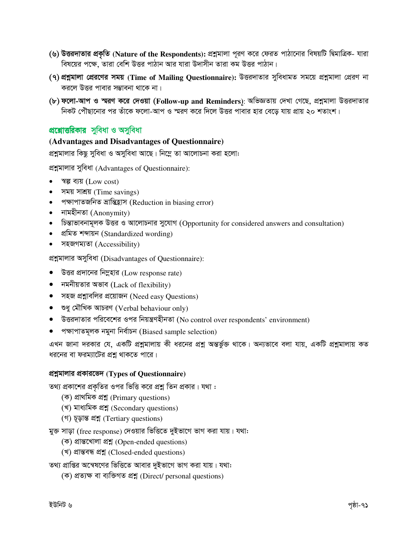- (৬) উত্তরদাতার প্রকৃতি (Nature of the Respondents): প্রশ্নমালা পূরণ করে ফেরত পাঠানোর বিষয়টি দ্বিমাত্রিক- যারা বিষয়ের পক্ষে, তারা বেশি উত্তর পাঠান আর যারা উদাসীন তারা কম উত্তর পাঠান।
- (৭) প্রশ্নমালা প্রেরণের সময় (Time of Mailing Questionnaire): উত্তরদাতার সুবিধামত সময়ে প্রশ্নমালা প্রেরণ না করলে উত্তর পাবার সম্ভাবনা থাকে না।
- (৮) ফলো-আপ ও স্মরণ করে দেওয়া (Follow-up and Reminders): অভিজ্ঞতায় দেখা গেছে, প্রশ্নমালা উত্তরদাতার নিকট পৌছানোর পর তাঁকে ফলো-আপ ও স্মরণ করে দিলে উত্তর পাবার হার বেড়ে যায় প্রায় ২০ শতাংশ।

# প্রশ্নোত্তরিকার সুবিধা ও অসুবিধা

## (Advantages and Disadvantages of Questionnaire)

প্রশ্নমালার কিছু সুবিধা ও অসুবিধা আছে। নিম্নে তা আলোচনা করা হলো:

প্রশ্নমালার সুবিধা (Advantages of Questionnaire):

- স্বল্প ব্যয় (Low cost)  $\bullet$
- সময় সাশ্রয় (Time savings)  $\bullet$
- পক্ষাপাতজনিত ভ্ৰান্তিহ্ৰাস (Reduction in biasing error)
- $\bullet$  নামহীনতা (Anonymity)
- চিন্তাভাবনামূলক উত্তর ও আলোচনার সুযোগ (Opportunity for considered answers and consultation)
- প্ৰমিত শব্দায়ন (Standardized wording)
- সহজগম্যতা (Accessibility)

প্ৰশ্নমালার অসুবিধা (Disadvantages of Questionnaire):

- $\bullet$  উত্তর প্রদানের নিম্নহার (Low response rate)
- $\bullet$  নমনীয়তার অভাব (Lack of flexibility)
- $\bullet$  সহজ প্রশ্নাবলির প্রয়োজন (Need easy Questions)
- শুধু মৌখিক আচরণ (Verbal behaviour only)
- উত্তরদাতার পরিবেশের ওপর নিয়ন্ত্রণহীনতা (No control over respondents' environment)
- পক্ষাপাতমূলক নমুনা নিৰ্বাচন (Biased sample selection)

এখন জানা দরকার যে, একটি প্রশ্নমালায় কী ধরনের প্রশ্ন অন্তর্ভুক্ত থাকে। অন্যভাবে বলা যায়, একটি প্রশ্নমালায় কত ধরনের বা ফরম্যাটের প্রশ্ন থাকতে পারে।

## প্রশ্নমালার প্রকারভেদ (Types of Questionnaire)

তথ্য প্রকাশের প্রকৃতির ওপর ভিত্তি করে প্রশ্ন তিন প্রকার। যথা :

- (ক) প্ৰাথমিক প্ৰশ্ন (Primary questions)
- (খ) মাধ্যমিক প্ৰশ্ন (Secondary questions)
- (গ) চূড়ান্ত প্ৰশ্ন (Tertiary questions)

মুক্ত সাড়া (free response) দেওয়ার ভিত্তিতে দুইভাগে ভাগ করা যায়। যথা:

- (ক) প্ৰান্তখোলা প্ৰশ্ন (Open-ended questions)
- (খ) প্ৰান্তবন্ধ প্ৰশ্ন (Closed-ended questions)

তথ্য প্রাপ্তির অম্বেষণের ভিত্তিতে আবার দুইভাগে ভাগ করা যায়। যথা:

(ক) প্ৰত্যক্ষ বা ব্যক্তিগত প্ৰশ্ন (Direct/ personal questions)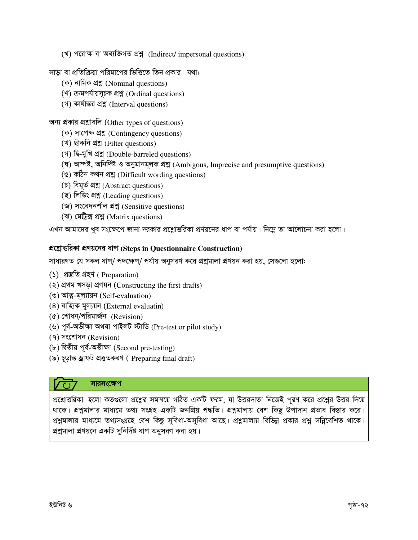(খ) পরোক্ষ বা অব্যক্তিগত প্রশ্ন (Indirect/impersonal questions)

সাডা বা প্রতিক্রিয়া পরিমাপের ভিত্তিতে তিন প্রকার। যথা:

- (ক) নামিক প্ৰশ্ন (Nominal questions)
- (খ) ক্রমপর্যায়সূচক প্রশ্ন (Ordinal questions)
- (গ) কাৰ্যান্তর প্রশ্ন (Interval questions)

অন্য প্রকার প্রশ্নাবলি (Other types of questions)

- (ক) সাপেক্ষ প্ৰশ্ন (Contingency questions)
- (খ) ছাঁকনি প্ৰশ্ন (Filter questions)
- (গ) দি-মুখি প্ৰশ্ন (Double-barreled questions)
- (ঘ) অম্পষ্ট, অনিৰ্দিষ্ট ও অনুমানমূলক প্ৰশ্ন (Ambigous, Imprecise and presumptive questions)
- (ঙ) কঠিন কথন প্ৰশ্ন (Difficult wording questions)
- (চ) বিমূর্ত প্রশ্ন (Abstract questions)
- (ছ) লিডিং প্ৰশ্ন (Leading questions)
- (জ) সংবেদনশীল প্ৰশ্ন (Sensitive questions)
- (ঝ) মেট্রিক্স প্রশ্ন (Matrix questions)

এখন আমাদের খুব সংক্ষেপে জানা দরকার প্রশ্নোত্তরিকা প্রণয়নের ধাপ বা পর্যায়। নিম্লে তা আলোচনা করা হলো।

#### প্রশ্নোত্তরিকা প্রণয়নের ধাপ (Steps in Questionnaire Construction)

সাধারণত যে সকল ধাপ/ পদক্ষেপ/ পর্যায় অনুসরণ করে প্রশ্নমালা প্রণয়ন করা হয়, সেগুলো হলো:

- (১) প্ৰস্তুতি গ্ৰহণ (Preparation)
- (২) প্ৰথম খসড়া প্ৰণয়ন (Constructing the first drafts)
- (৩) আত্ম-মূল্যায়ন (Self-evaluation)
- $(8)$  বাহ্যিক মূল্যয়ন (External evaluatin)
- (৫) শোধন/পরিমার্জন (Revision)
- (৬) পূৰ্ব-অভীক্ষা অথবা পাইলট স্টাডি (Pre-test or pilot study)
- (१) সংশোধন (Revision)
- (৮) দ্বিতীয় পূৰ্ব-অভীক্ষা (Second pre-testing)
- (৯) চূড়ান্ত ড্ৰাফট প্ৰস্তুতকরণ (Preparing final draft)

## সারসংক্ষেপ

প্রশ্নোত্তরিকা হলো কতগুলো প্রশ্নের সমন্বয়ে গঠিত একটি ফরম, যা উত্তরদাতা নিজেই পূরণ করে প্রশ্নের উত্তর দিয়ে থাকে। প্রশ্নমালার মাধ্যমে তথ্য সংগ্রহ একটি জনপ্রিয় পদ্ধতি। প্রশ্নমালায় বেশ কিছু উপাদান প্রভাব বিস্তার করে। প্রশ্নমালার মাধ্যমে তথ্যসংগ্রহে বেশ কিছু সুবিধা-অসুবিধা আছে। প্রশ্নমালায় বিভিন্ন প্রকার প্রশ্ন সন্নিবেশিত থাকে। প্রশ্নমালা প্রণয়নে একটি সুনির্দিষ্ট ধাপ অনুসরণ করা হয়।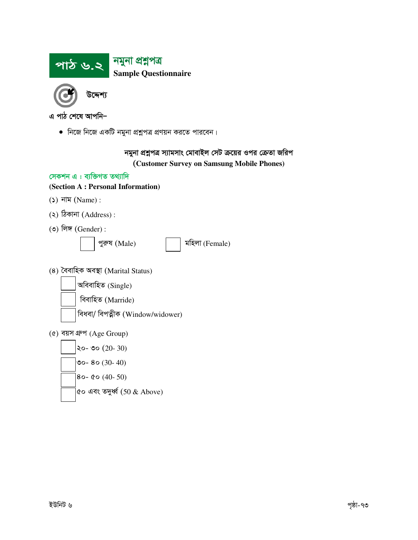

• নিজে নিজে একটি নমুনা প্রশ্নুপত্র প্রণয়ন করতে পারবেন।

## নমুনা প্রশ্নপত্র স্যামসাং মোবাইল সেট ক্রয়ের ওপর ক্রেতা জরিপ (Customer Survey on Samsung Mobile Phones)

#### সেকশন এ: ব্যক্তিগত তথ্যাদি

#### (Section A: Personal Information)

- $(5)$  নাম (Name):
- $(3)$  ঠিকানা  $(Address)$ :
- $(0)$  লিঙ্গ (Gender):



মহিলা (Female)

(8) বৈবাহিক অবস্থা (Marital Status)

অবিবাহিত (Single)

বিবাহিত (Marride)

বিধবা/ বিপত্নীক (Window/widower)

 $($ ৫) বয়স গ্রুপ (Age Group)

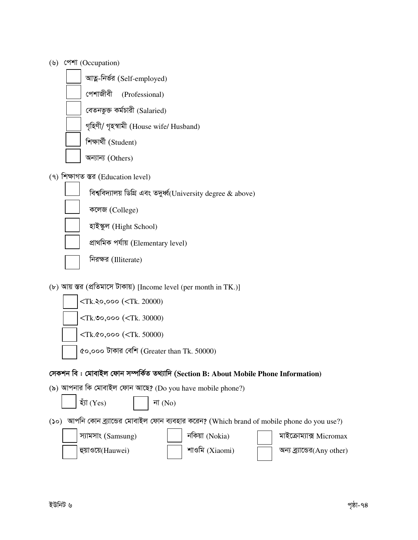| (৬) পেশা (Occupation)                                                                        |
|----------------------------------------------------------------------------------------------|
| আত্ন-নিৰ্ভর (Self-employed)                                                                  |
| পেশাজীবী<br>(Professional)                                                                   |
| বেতনভুক্ত কৰ্মচারী (Salaried)                                                                |
| গৃহিণী/ গৃহস্বামী (House wife/ Husband)                                                      |
| শিক্ষাৰ্থী (Student)                                                                         |
| অন্যান্য (Others)                                                                            |
| (৭) শিক্ষাগত স্তর (Education level)                                                          |
| বিশ্ববিদ্যালয় ডিগ্রি এবং তদুর্ধ্ব(University degree & above)                                |
| কলেজ (College)                                                                               |
| হাইস্কুল (Hight School)                                                                      |
| প্ৰাথমিক পৰ্যায় (Elementary level)                                                          |
| নিরক্ষর (Illiterate)                                                                         |
| (৮) আয় স্তর (প্রতিমাসে টাকায়) [Income level (per month in TK.)]                            |
| $\langle$ Tk.२०,००० ( $\langle$ Tk. 20000)                                                   |
| <tk.00,000 (<tk.="" 30000)<="" td=""></tk.00,000>                                            |
| <tk.&o,ooo (<tk.="" 50000)<="" td=""></tk.&o,ooo>                                            |
| ৫০,০০০ টাকার বেশি (Greater than Tk. 50000)                                                   |
| সেকশন বি : মোবাইল ফোন সম্পর্কিত তথ্যাদি (Section B: About Mobile Phone Information)          |
| (৯) আপনার কি মোবাইল ফোন আছে? (Do you have mobile phone?)                                     |
| য়াঁ (Yes)<br>না $(No)$                                                                      |
| (১০) আপনি কোন ব্র্যান্ডের মোবাইল ফোন ব্যবহার করেন? (Which brand of mobile phone do you use?) |
| নকিয়া (Nokia)<br>স্যামসাং (Samsung)<br>মাইক্রোম্যাক্স Micromax                              |
| শাওমি (Xiaomi)<br>হুয়াওয়ে(Hauwei)<br>অন্য ব্র্যান্ডের(Any other)                           |
|                                                                                              |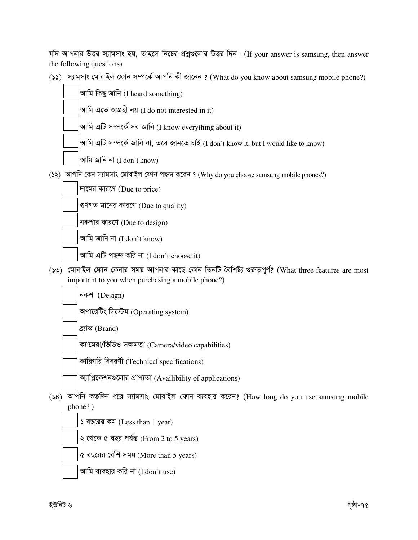| যদি আপনার উত্তর স্যামসাং হয়, তাহলে নিচের প্রশ্নগুলোর উত্তর দিন। (If your answer is samsung, then answer |  |  |  |  |  |  |
|----------------------------------------------------------------------------------------------------------|--|--|--|--|--|--|
| the following questions)                                                                                 |  |  |  |  |  |  |

(১১) স্যামসাং মোবাইল ফোন সম্পৰ্কে আপনি কী জানেন ? (What do you know about samsung mobile phone?)

|            | আমি কিছু জানি (I heard something)                                                                                                                     |
|------------|-------------------------------------------------------------------------------------------------------------------------------------------------------|
|            | আমি এতে আগ্রহী নয় (I do not interested in it)                                                                                                        |
|            | আমি এটি সম্পর্কে সব জানি (I know everything about it)                                                                                                 |
|            | আমি এটি সম্পৰ্কে জানি না, তবে জানতে চাই (I don`t know it, but I would like to know)                                                                   |
|            | আমি জানি না (I don`t know)                                                                                                                            |
|            | (১২) আপনি কেন স্যামসাং মোবাইল ফোন পছন্দ করেন ? (Why do you choose samsung mobile phones?)                                                             |
|            | দামের কারণে (Due to price)                                                                                                                            |
|            | গুণগত মানের কারণে (Due to quality)                                                                                                                    |
|            | নকশার কারণে (Due to design)                                                                                                                           |
|            | আমি জানি না (I don't know)                                                                                                                            |
|            | আমি এটি পছন্দ করি না (I don`t choose it)                                                                                                              |
| $(0\zeta)$ | মোবাইল ফোন কেনার সময় আপনার কাছে কোন তিনটি বৈশিষ্ট্য গুরুত্বপূর্ণ? (What three features are most<br>important to you when purchasing a mobile phone?) |
|            | নকশা (Design)                                                                                                                                         |
|            | অপারেটিং সিস্টেম (Operating system)                                                                                                                   |
|            | ব্ৰ্যান্ড (Brand)                                                                                                                                     |
|            | ক্যামেরা/ভিডিও সক্ষমতা (Camera/video capabilities)                                                                                                    |
|            | কারিগরি বিবরণী (Technical specifications)                                                                                                             |
|            | অ্যাপ্লিকেশনগুলোর প্রাপ্যতা (Availibility of applications)                                                                                            |
| (38)       | আপনি কতদিন ধরে স্যামসাং মোবাইল ফোন ব্যবহার করেন? (How long do you use samsung mobile<br>phone?)                                                       |
|            | ১ বছরের কম (Less than 1 year)                                                                                                                         |
|            | ২ থেকে ৫ বছর পর্যন্ত (From 2 to 5 years)                                                                                                              |
|            | ৫ বছরের বেশি সময় (More than 5 years)                                                                                                                 |
|            | আমি ব্যবহার করি না (I don`t use)                                                                                                                      |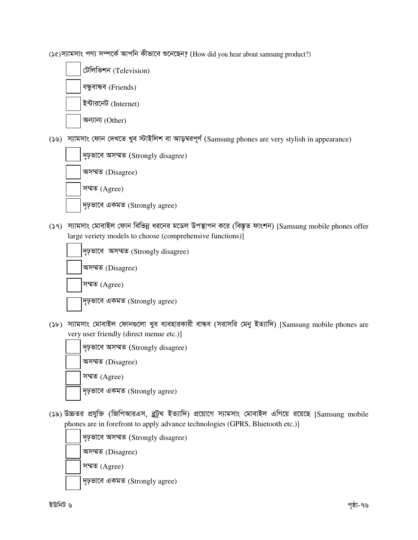(১৫) স্যামসাং পণ্য সম্পর্কে আপনি কীভাবে শুনেছেন? (How did you hear about samsung product?)



(১৬) স্যামসাং ফোন দেখতে খুব স্টাইলিশ বা আড়ম্বরপূর্ণ (Samsung phones are very stylish in appearance)



(১৭) স্যামসাং মোবাইল ফোন বিভিন্ন ধরনের মডেল উপস্থাপন করে (বিস্তৃত ফাংশন) [Samsung mobile phones offer large veriety models to choose (comprehensive functions)]



(১৮) স্যামসাং মোবাইল ফোনগুলো খুব ব্যবহারকারী বান্ধব (সরাসরি মেনু ইত্যাদি) [Samsung mobile phones are very user friendly (direct menue etc.)]



(১৯) উচ্চতর প্রযুক্তি (জিপিআরএস, ব্লুটুথ ইত্যাদি) প্রয়োগে স্যামসাং মোবাইল এগিয়ে রয়েছে [Samsung mobile phones are in forefront to apply advance technologies (GPRS, Bluetooth etc.)]

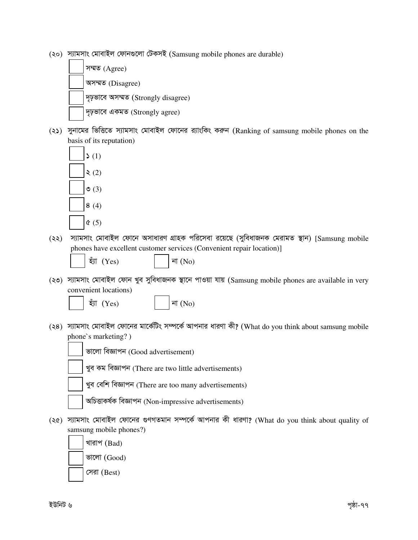(২০) স্যামসাং মোবাইল ফোনগুলো টেকসই (Samsung mobile phones are durable)

| সম্মত (Agree)                           |
|-----------------------------------------|
| অসম্মত (Disagree)                       |
| দৃঢ়ভাবে অসম্মত (Strongly disagree)     |
| $\sqrt{q}$ চ্ছাবে একমত (Strongly agree) |

 $(2)$  সুনামের ভিত্তিতে স্যামসাং মোবাইল ফোনের র্যাংকিং করুন (Ranking of samsung mobile phones on the basis of its reputation)



- (২২) স্যামসাং মোবাইল ফোনে অসাধারণ গ্রাহক পরিসেবা রয়েছে (সুবিধাজনক মেরামত স্থান) [Samsung mobile phones have excellent customer services (Convenient repair location)]
	-

 $\overline{z}$ য়া (Yes)  $|\overline{r}$  | না (No)

- (২৩) স্যামসাং মোবাইল ফোন খুব সুবিধাজনক স্থানে পাওয়া যায় (Samsung mobile phones are available in very convenient locations)
	-

 $\stackrel{\ast}{\mathfrak{V}}$  (Yes)  $\qquad \qquad$   $\qquad \qquad$   $\qquad \qquad$   $\qquad \qquad$   $\qquad \qquad$   $\qquad \qquad$   $\qquad \qquad$   $\qquad \qquad$   $\qquad \qquad$   $\qquad \qquad$   $\qquad \qquad$   $\qquad \qquad$   $\qquad \qquad$   $\qquad \qquad$   $\qquad \qquad$   $\qquad \qquad$   $\qquad \qquad$   $\qquad \qquad$   $\qquad \qquad$   $\qquad \qquad$   $\qquad \qquad$   $\qquad \qquad$ 

(২৪) স্যামসাং মোবাইল ফোনের মার্কেটিং সম্পর্কে আপনার ধারণা কী? (What do you think about samsung mobile phone`s marketing? )



ভালো বিজ্ঞাপন (Good advertisement)

খুব কম বিজ্ঞাপন (There are two little advertisements)

খুব বেশি বিজ্ঞাপন (There are too many advertisements)

অচিত্তাকৰ্ষক বিজ্ঞাপন (Non-impressive advertisements)

 $(36)$  স্যামসাং মোবাইল ফোনের গুণগতমান সম্পর্কে আপনার কী ধারণা? (What do you think about quality of samsung mobile phones?)

খারাপ  $(Bad)$ ভালো  $(Good)$ সেরা (Best)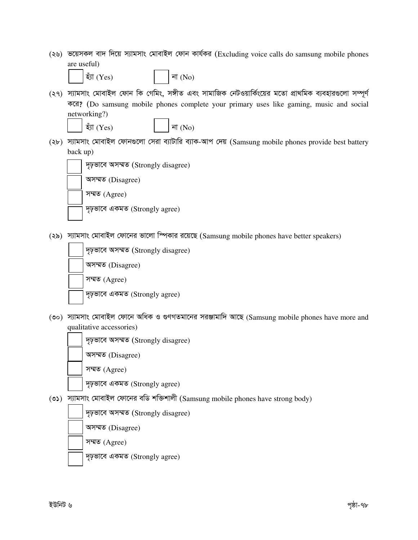(২৬) ভয়েসকল বাদ দিয়ে স্যামসাং মোবাইল ফোন কাৰ্যকর (Excluding voice calls do samsung mobile phones are useful)



- $\check{\mathfrak{V}}$ l (Yes)  $|\mathfrak{V}(\mathbf{N}_0)|$
- (২৭) স্যামসাং মোবাইল ফোন কি গেমিং, সঙ্গীত এবং সামাজিক নেটওয়ার্কিংয়ের মতো প্রাথমিক ব্যবহারগুলো সম্পূর্ণ করে? (Do samsung mobile phones complete your primary uses like gaming, music and social networking?)

 $\mathsf{res}$ ) | না $(\mathsf{No})$ 

(২৮) স্যামসাং মোবাইল ফোনগুলো সেৱা ব্যাটারি ব্যাক-আপ দেয় (Samsung mobile phones provide best battery back up)



 $(25)$  স্যামসাং মোবাইল ফোনের ভালো স্পিকার রয়েছে (Samsung mobile phones have better speakers)

| দৃঢ়ভাবে অসম্মত (Strongly disagree) |
|-------------------------------------|
| অসম্মত (Disagree)                   |
| সম্মত (Agree)                       |
| দৃঢ়ভাবে একমত (Strongly agree)      |

(৩০) স্যামসাং মোবাইল ফোনে অধিক ও গুণগতমানের সরঞ্জামাদি আছে (Samsung mobile phones have more and qualitative accessories)

| দৃঢ়ভাবে অসম্মত (Strongly disagree) |
|-------------------------------------|
| অসম্মত (Disagree)                   |
| সম্মত $(A\text{gree})$              |
| দৃঢ়ভাবে একমত (Strongly agree)      |

(৩১) স্যামসাং মোবাইল ফোনের বডি শক্তিশালী (Samsung mobile phones have strong body)

দৃঢ়ভাবে অসম্মত (Strongly disagree)

অসম্মত (Disagree)

সম্মত (Agree)

দৃঢ়ভাবে একমত (Strongly agree)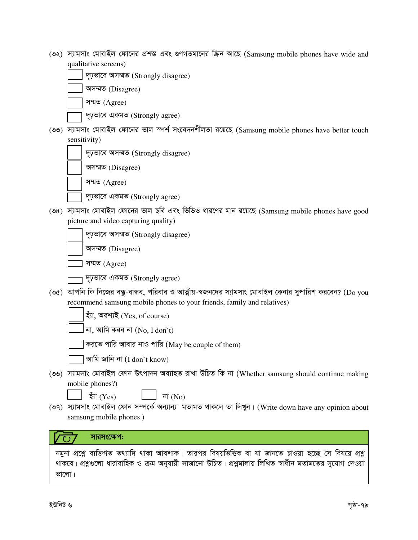- $(2)$  স্যামসাং মোবাইল ফোনের প্রশস্ত এবং গুণগতমানের স্ক্রিন আছে (Samsung mobile phones have wide and qualitative screens)
	- দৃঢ়ভাবে অসম্মত (Strongly disagree)
	- অসম্মত (Disagree)
	- সম্মত $(A)$ 
		- $\overline{p}$  pৃভাবে একমত (Strongly agree)
- (৩৩) স্যামসাং মোবাইল ফোনের ভাল স্পর্শ সংবেদনশীলতা রয়েছে (Samsung mobile phones have better touch sensitivity)
	- দৃঢ়ভাবে অসম্মত (Strongly disagree)
	- অসম্মত (Disagree)
	- সম্মত (Agree)
	- দৃঢ়ভাবে একমত (Strongly agree)
- $(34)$  স্যামসাং মোবাইল ফোনের ভাল ছবি এবং ভিডিও ধারণের মান রয়েছে  $(Samsung \text{ mobile phones have good})$ picture and video capturing quality)
	- দৃঢ়ভাবে অসম্মত (Strongly disagree)
	- অসম্মত (Disagree)
	- সম্মত (Agree)
	- দৃঢ়ভাবে একমত (Strongly agree)
- (৩৫) আপনি কি নিজের বন্ধু-বান্ধব, পরিবার ও আত্নীয়-স্বজনদের স্যামসাং মোবাইল কেনার সুপারিশ করবেন? (Do you recommend samsung mobile phones to your friends, family and relatives)
	- হ্ঁয়া, অবশ্যই (Yes, of course)
	- না, আমি করব না  $(No, I don't)$
	- $\overline{\phantom{x}}$  করতে পারি আবার নাও পারি (May be couple of them)
	- $\vert$  আমি জানি না (I don`t know)
- (৩৬) স্যামসাং মোবাইল ফোন উৎপাদন অব্যাহত রাখা উচিত কি না (Whether samsung should continue making mobile phones?)

 $\overline{z}$ া (Yes)  $\Box$  না (No)

(৩৭) স্যামসাং মোবাইল ফোন সম্পৰ্কে অন্যান্য মতামত থাকলে তা লিখুন। (Write down have any opinion about samsung mobile phones.)

## সারসংক্ষেপ:

নমুনা প্রশ্নে ব্যক্তিগত তথ্যাদি থাকা আবশ্যক। তারপর বিষয়ভিত্তিক বা যা জানতে চাওয়া হচ্ছে সে বিষয়ে প্রশ্ন থাকবে। প্ৰশ্নগুলো ধারাবাহিক ও ক্রম অনুযায়ী সাজানো উচিত। প্রশ্নমালায় লিখিত স্বাধীন মতামতের সুযোগ দেওয়া ভালো।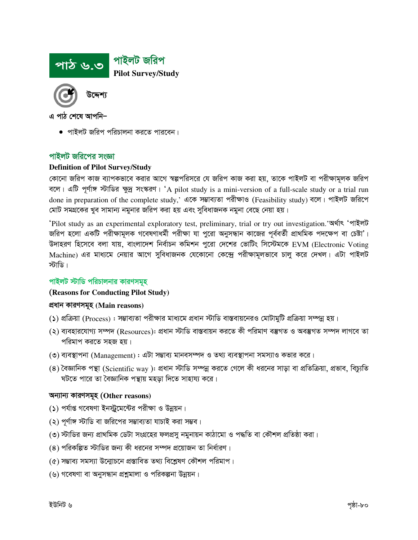

• পাইলট জরিপ পরিচালনা করতে পারবেন।

#### পাইলট জরিপের সংজ্ঞা

#### **Definition of Pilot Survey/Study**

কোনো জরিপ কাজ ব্যাপকভাবে করার আগে স্বল্পপরিসরে যে জরিপ কাজ করা হয়, তাকে পাইলট বা পরীক্ষামূলক জরিপ বলে। এটি পূর্ণাঙ্গ স্টাডির ক্ষুদ্র সংস্করণ। 'A pilot study is a mini-version of a full-scale study or a trial run done in preparation of the complete study,' একে সম্ভাব্যতা পরীক্ষাও (Feasibility study) বলে। পাইলট জরিপে মোট সমগ্রকের খুব সামান্য নমুনার জরিপ করা হয় এবং সুবিধাজনক নমুনা বেছে নেয়া হয়।

'Pilot study as an experimental exploratory test, preliminary, trial or try out investigation.'অৰ্থাৎ 'পাইলট জরিপ হলো একটি পরীক্ষামূলক গবেষণাধর্মী পরীক্ষা যা পুরো অনুসন্ধান কাজের পূর্ববর্তী প্রাথমিক পদক্ষেপ বা চেষ্টা'। উদাহরণ হিসেবে বলা যায়, বাংলাদেশ নির্বাচন কমিশন পুরো দেশের ভোটিং সিস্টেমকে EVM (Electronic Voting Machine) এর মাধ্যমে নেয়ার আগে সুবিধাজনক যেকোনো কেন্দ্রে পরীক্ষামূলভাবে চালু করে দেখল। এটা পাইলট স্টাডি।

## পাইলট স্টাডি পরিচালনার কারণসমূহ

#### (Reasons for Conducting Pilot Study)

#### প্ৰধান কারণসমূহ (Main reasons)

- (১) প্রক্রিয়া (Process) : সম্ভাব্যতা পরীক্ষার মাধ্যমে প্রধান স্টাডি বাস্তবায়নেরও মোটামুটি প্রক্রিয়া সম্পন্ন হয়।
- (২) ব্যবহারযোগ্য সম্পদ (Resources): প্রধান স্টাডি বাস্তবায়ন করতে কী পরিমাণ বস্তুগত ও অবস্তুগত সম্পদ লাগবে তা পরিমাপ করতে সহজ হয়।
- (৩) ব্যবস্থাপনা (Management) : এটা সম্ভাব্য মানবসম্পদ ও তথ্য ব্যবস্থাপনা সমস্যাও কভার করে।
- (8) বৈজ্ঞানিক পন্থা (Scientific way ): প্রধান স্টাডি সম্পন্ন করতে গেলে কী ধরনের সাড়া বা প্রতিক্রিয়া, প্রভাব, বিচ্যতি ঘটতে পারে তা বৈজ্ঞানিক পন্থায় মহড়া দিতে সাহায্য করে।

#### অন্যান্য কারণসমূহ (Other reasons)

- (১) পর্যাপ্ত গবেষণা ইনস্ট্রমেন্টের পরীক্ষা ও উন্নয়ন।
- (২) পূর্ণাঙ্গ স্টাডি বা জরিপের সম্ভাব্যতা যাচাই করা সম্ভব।
- (৩) স্টাডির জন্য প্রাথমিক ডেটা সংগ্রহের ফলপ্রসু নমুনায়ন কাঠামো ও পদ্ধতি বা কৌশল প্রতিষ্ঠা করা।
- (৪) পরিকল্পিত স্টাডির জন্য কী ধরনের সম্পদ প্রয়োজন তা নির্ধারণ।
- (৫) সম্ভাব্য সমস্যা উন্মোচনে প্ৰস্তাবিত তথ্য বিশ্লেষণ কৌশল পরিমাপ।
- (৬) গবেষণা বা অনুসন্ধান প্রশ্নমালা ও পরিকল্পনা উন্নয়ন।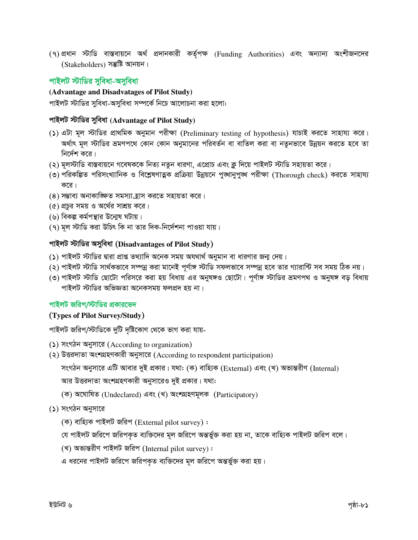(৭)প্রধান স্টাডি বাস্তবায়নে অর্থ প্রদানকারী কর্তৃপক্ষ (Funding Authorities) এবং অন্যান্য অংশীজনদের (Stakeholders) সম্ভুষ্টি আনয়ন।

## পাইলট স্টাডির সুবিধা-অসুবিধা

### (Advantage and Disadvatages of Pilot Study)

পাইলট স্টাডির সুবিধা-অসুবিধা সম্পর্কে নিচে আলোচনা করা হলো:

## পাইলট স্টাডির সুবিধা (Advantage of Pilot Study)

- (১) এটা মূল স্টাডির প্রাথমিক অনুমান পরীক্ষা (Preliminary testing of hypothesis) যাচাই করতে সাহায্য করে। অর্থাৎ মূল স্টাডির ভ্রমণপথে কোন কোন অনুমানের পরিবর্তন বা বাতিল করা বা নতুনভাবে উন্নয়ন করতে হবে তা নির্দেশ করে।
- (২) মূলস্টাডি বাস্তবায়নে গবেষককে নিত্য নতুন ধারণা, এপ্রোচ এবং ক্লু দিয়ে পাইলট স্টাডি সহায়তা করে।
- (৩) পরিকল্পিত পরিসংখ্যানিক ও বিশ্লেষণাত্নক প্রক্রিয়া উন্নয়নে পুঙ্খানুপুঙ্খ পরীক্ষা (Thorough check) করতে সাহায্য করে।
- (৪) সম্ভাব্য অনাকাজ্ঞিত সমস্যা হ্রাস করতে সহায়তা করে।
- (৫) প্রচুর সময় ও অর্থের সাশ্রয় করে।
- (৬) বিকল্প কর্মপন্থার উন্মেষ ঘটায়।
- (৭) মূল স্টাডি করা উচিৎ কি না তার দিক-নির্দেশনা পাওয়া যায়।

#### পাইলট স্টাডির অসুবিধা (Disadvantages of Pilot Study)

- (১) পাইলট স্টাডির দ্বারা প্রাপ্ত তথ্যাদি অনেক সময় অযথার্থ অনুমান বা ধারণার জন্ম দেয়।
- (২) পাইলট স্টাডি সার্থকভাবে সম্পন্ন করা মানেই পূর্ণাঙ্গ স্টাডি সফলভাবে সম্পন্ন হবে তার গ্যারান্টি সব সময় ঠিক নয়।
- (৩) পাইলট স্টাডি ছোটো পরিসরে করা হয় বিধায় এর অনুষঙ্গও ছোটো। পূর্ণাঙ্গ স্টাডির ভ্রমণপথ ও অনুষঙ্গ বড় বিধায় পাইলট স্টাডির অভিজ্ঞতা অনেকসময় ফলপ্রদ হয় না।

#### পাইলট জরিপ/স্টাডির প্রকারভেদ

#### (Types of Pilot Survey/Study)

পাইলট জরিপ/স্টাডিকে দুটি দৃষ্টিকোণ থেকে ভাগ করা যায়-

- (১) সংগঠন অনুসারে (According to organization)
- (২) উত্তরদাতা অংশগ্রহণকারী অনুসারে (According to respondent participation)

সংগঠন অনুসারে এটি আবার দুই প্রকার। যথা: (ক) বাহ্যিক (External) এবং (খ) অভ্যন্তরীণ (Internal)

আর উত্তরদাতা অংশগ্রহণকারী অনুসারেও দুই প্রকার। যথা:

(ক) অঘোষিত (Undeclared) এবং (খ) অংশগ্ৰহণমূলক (Participatory)

#### (১) সংগঠন অনুসারে

(ক) বাহ্যিক পাইলট জরিপ (External pilot survey):

যে পাইলট জরিপে জরিপকৃত ব্যক্তিদের মূল জরিপে অন্তর্ভুক্ত করা হয় না, তাকে বাহ্যিক পাইলট জরিপ বলে।

(খ) অভ্যন্তরীণ পাইলট জরিপ (Internal pilot survey):

এ ধরনের পাইলট জরিপে জরিপকৃত ব্যক্তিদের মূল জরিপে অন্তর্ভুক্ত করা হয়।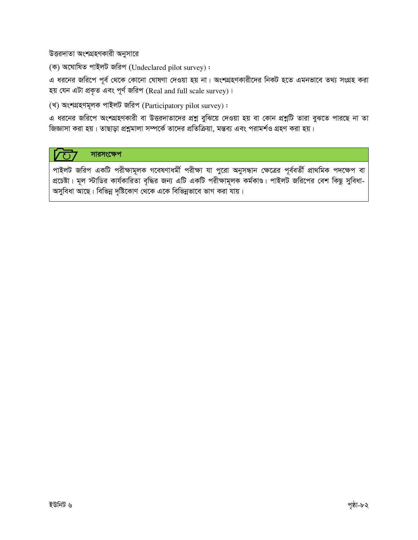উত্তরদাতা অংশগ্রহণকারী অনুসারে

(ক) অঘোষিত পাইলট জরিপ (Undeclared pilot survey):

এ ধরনের জরিপে পূর্ব থেকে কোনো ঘোষণা দেওয়া হয় না। অংশগ্রহণকারীদের নিকট হতে এমনভাবে তথ্য সংগ্রহ করা হয় যেন এটা প্রকৃত এবং পূর্ণ জরিপ (Real and full scale survey)।

(খ) অংশগ্ৰহণমূলক পাইলট জরিপ (Participatory pilot survey):

এ ধরনের জরিপে অংশগ্রহণকারী বা উত্তরদাতাদের প্রশ্ন বুঝিয়ে দেওয়া হয় বা কোন প্রশ্নটি তারা বুঝতে পারছে না তা জিজ্ঞাসা করা হয়। তাছাড়া প্রশ্নমালা সম্পর্কে তাদের প্রতিক্রিয়া, মন্তব্য এবং পরামর্শও গ্রহণ করা হয়।

#### সারসংক্ষেপ  $\sqrt{1}$

পাইলট জরিপ একটি পরীক্ষামূলক গবেষণাধর্মী পরীক্ষা যা পুরো অনুসন্ধান ক্ষেত্রের পূর্ববর্তী প্রাথমিক পদক্ষেপ বা প্রচেষ্টা। মূল স্টাডির কার্যকারিতা বৃদ্ধির জন্য এটি একটি পরীক্ষামূলক কর্মকাণ্ড। পাইলট জরিপের বেশ কিছু সুবিধা-অসুবিধা আছে। বিভিন্ন দৃষ্টিকোণ থেকে একে বিভিন্নভাবে ভাগ করা যায়।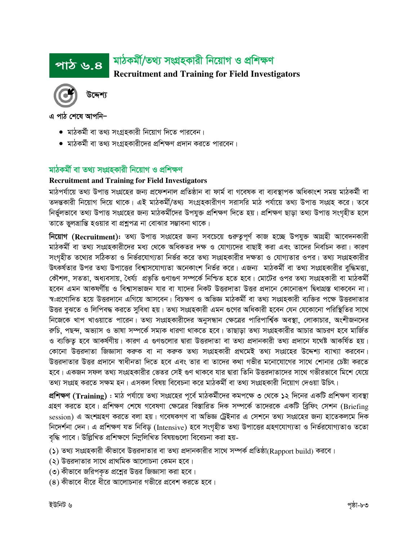## মাঠকৰ্মী/তথ্য সংগ্ৰহকারী নিয়োগ ও প্রশিক্ষণ <u>পাঠ ৬.৪</u> **Recruitment and Training for Field Investigators**



এ পাঠ শেষে আপনি–

- মাঠকৰ্মী বা তথ্য সংগ্ৰহকারী নিয়োগ দিতে পারবেন।
- মাঠকর্মী বা তথ্য সংগ্রহকারীদের প্রশিক্ষণ প্রদান করতে পারবেন।

# মাঠকৰ্মী বা তথ্য সংগ্ৰহকারী নিয়োগ ও প্ৰশিক্ষণ

## **Recruitment and Training for Field Investigators**

মাঠপৰ্যায়ে তথ্য উপাত্ত সংগ্ৰহের জন্য প্ৰফেশনাল প্ৰতিষ্ঠান বা ফাৰ্ম বা গবেষক বা ব্যবস্থাপক অধিকাংশ সময় মাঠকৰ্মী বা তদন্তকারী নিয়োগ দিয়ে থাকে। এই মাঠকর্মী/তথ্য সংগ্রহকারীগণ সরাসরি মাঠ পর্যায়ে তথ্য উপাত্ত সংগ্রহ করে। তবে নিৰ্ভুলভাবে তথ্য উপাত্ত সংগ্ৰহের জন্য মাঠকৰ্মীদের উপযুক্ত প্ৰশিক্ষণ দিতে হয়। প্ৰশিক্ষণ ছাড়া তথ্য উপাত্ত সংগৃহীত হলে তাতে ভুলভ্রান্তি হওয়ার বা প্রশ্নুপত্র না বোঝার সম্ভাবনা থাকে।

নিয়োগ (Recruitment): তথ্য উপাত্ত সংগ্রহের জন্য সবচেয়ে গুরুতুপূর্ণ কাজ হচ্ছে উপযুক্ত আগ্রহী আবেদনকারী মাঠকৰ্মী বা তথ্য সংগ্ৰহকারীদের মধ্য থেকে অধিকতর দক্ষ ও যোগ্যদের বাছাই করা এবং তাদের নির্বাচন করা। কারণ সংগৃহীত তথ্যের সঠিকতা ও নির্ভরযোগ্যতা নির্ভর করে তথ্য সংগ্রহকারীর দক্ষতা ও যোগ্যতার ওপর। তথ্য সংগ্রহকারীর উৎকর্ষতার উপর তথ্য উপাত্তের বিশ্বাসযোগ্যতা অনেকাংশ নির্ভর করে। এজন্য মাঠকর্মী বা তথ্য সংগ্রহকারীর বুদ্ধিমত্তা, কৌশল, সততা, অধ্যবসায়, ধৈৰ্য্য প্ৰভৃতি গুণাগুণ সম্পৰ্কে নিশ্চিত হতে হবে। মোটের ওপর তথ্য সংগ্ৰহকারী বা মাঠকৰ্মী হবেন এমন আকষর্ণীয় ও বিশ্বাসভাজন যার বা যাদের নিকট উত্তরদাতা উত্তর প্রদানে কোনোরূপ দ্বিধাগ্রস্ত থাকবেন না। স্ব:প্রণোদিত হয়ে উত্তরদানে এগিয়ে আসবেন। বিচক্ষণ ও অভিজ্ঞ মাঠকর্মী বা তথ্য সংগ্রহকারী ব্যক্তির পক্ষে উত্তরদাতার উত্তর বুঝতে ও লিপিবদ্ধ করতে সুবিধা হয়। তথ্য সংগ্রহকারী এমন গুণের অধিকারী হবেন যেন যেকোনো পরিস্থিতির সাথে নিজেকে খাপ খাওয়াতে পারেন। তথ্য সংগ্রহকারীদের অনুসন্ধান ক্ষেত্রের পারিপার্শ্বিক অবস্থা, লোকাচার, অংশীজনদের রুচি, পছন্দ, অভ্যাস ও ভাষা সম্পর্কে সম্যক ধারণা থাকতে হবে। তাছাড়া তথ্য সংগ্রহকারীর আচার আচরণ হবে মার্জিত ও ব্যক্তিতু হবে আকর্ষণীয়। কারণ এ গুণগুলোর দ্বারা উত্তরদাতা বা তথ্য প্রদানকারী তথ্য প্রদানে যথেষ্ট আকর্ষিত হয়। কোনো উত্তরদাতা জিজ্ঞাসা করুক বা না করুক তথ্য সংগ্রহকারী প্রথমেই তথ্য সংগ্রহের উদ্দেশ্য ব্যাখ্যা করবেন। উত্তরদাতার উত্তর প্রদানে স্বাধীনতা দিতে হবে এবং তার বা তাদের কথা গভীর মনোযোগের সাথে শোনার চেষ্টা করতে হবে। একজন সফল তথ্য সংগ্রহকারীর ভেতর সেই গুণ থাকবে যার দ্বারা তিনি উত্তরদাতাদের সাথে গভীরভাবে মিশে যেয়ে তথ্য সংগ্রহ করতে সক্ষম হন। এসকল বিষয় বিবেচনা করে মাঠকর্মী বা তথ্য সংগ্রহকারী নিয়োগ দেওয়া উচিৎ।

প্রশিক্ষণ (Training) : মাঠ পর্যায়ে তথ্য সংগ্রহের পূর্বে মাঠকর্মীদের কমপক্ষে ৩ থেকে ১২ দিনের একটি প্রশিক্ষণ ব্যবস্থা গ্রহণ করতে হবে। প্রশিক্ষণ শেষে গবেষণা ক্ষেত্রের বিস্তারিত দিক সম্পর্কে তাদেরকে একটি ব্রিফিং সেশন (Briefing session) এ অংশগ্রহণ করতে বলা হয়। গবেষকগণ বা অভিজ্ঞ ট্রেইনার এ সেশনে তথ্য সংগ্রহের জন্য হাতেকলমে দিক নিদের্শনা দেন। এ প্রশিক্ষণ যত নিবিড় (Intensive) হবে সংগৃহীত তথ্য উপাত্তের গ্রহণযোগ্যতা ও নির্ভরযোগ্যতাও ততো বৃদ্ধি পাবে। উল্লিখিত প্রশিক্ষণে নিম্নলিখিত বিষয়গুলো বিবেচনা করা হয়-

(১) তথ্য সংগ্রহকারী কীভাবে উত্তরদাতার বা তথ্য প্রদানকারীর সাথে সম্পর্ক প্রতিষ্ঠা(Rapport build) করবে।

- (২) উত্তরদাতার সাথে প্রাথমিক আলোচনা কেমন হবে।
- (৩) কীভাবে জরিপকৃত প্রশ্নের উত্তর জিজ্ঞাসা করা হবে।
- (৪) কীভাবে ধীরে ধীরে আলোচনার গভীরে প্রবেশ করতে হবে।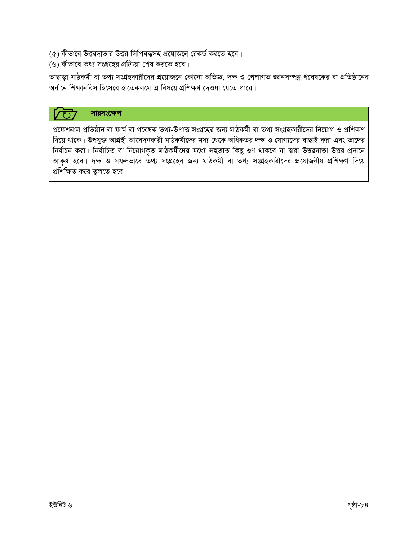- $\left( \alpha \right)$  কীভাবে উত্তরদাতার উত্তর লিপিবদ্ধসহ প্রয়োজনে রেকর্ড করতে হবে।
- (৬) কীভাবে তথ্য সংগ্রহের প্রক্রিয়া শেষ করতে হবে।

তাছাড়া মাঠকর্মী বা তথ্য সংগ্রহকারীদের প্রয়োজনে কোনো অভিজ্ঞ, দক্ষ ও পেশাগত জ্ঞানসম্পন্ন গবেষকের বা প্রতিষ্ঠানের অধীনে শিক্ষানবিস হিসেবে হাতেকলমে এ বিষয়ে প্রশিক্ষণ দেওয়া যেতে পারে।

#### সারসংক্ষেপ  $\overline{(\ }$

প্রফেশনাল প্রতিষ্ঠান বা ফার্ম বা গবেষক তথ্য-উপাত্ত সংগ্রহের জন্য মাঠকর্মী বা তথ্য সংগ্রহকারীদের নিয়োগ ও প্রশিক্ষণ দিয়ে থাকে। উপযুক্ত আগ্রহী আবেদনকারী মাঠকর্মীদের মধ্য থেকে অধিকতর দক্ষ ও যোগ্যদের বাছাই করা এবং তাদের নির্বাচন করা। নির্বাচিত বা নিয়োগকৃত মাঠকর্মীদের মধ্যে সহজাত কিছু গুণ থাকবে যা দ্বারা উত্তরদাতা উত্তর প্রদানে আকৃষ্ট হবে। দক্ষ ও সফলভাবে তথ্য সংগ্রহের জন্য মাঠকর্মী বা তথ্য সংগ্রহকারীদের প্রয়োজনীয় প্রশিক্ষণ দিয়ে প্রশিক্ষিত করে তুলতে হবে।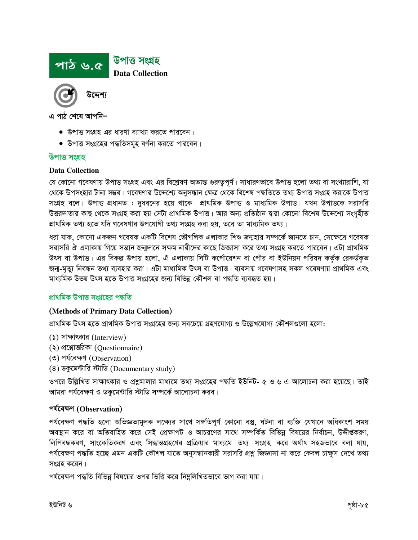

- $\bullet$  উপাত্ত সংগ্রহ এর ধারণা ব্যাখ্যা করতে পারবেন।
- উপাত্ত সংগ্রহের পদ্ধতিসমূহ বর্ণনা করতে পারবেন।

#### উপাত্ত সংগ্ৰহ

#### **Data Collection**

যে কোনো গবেষণায় উপাত্ত সংগ্রহ এবং এর বিশ্লেষণ অত্যন্ত গুরুত্বপূর্ণ। সাধারণভাবে উপাত্ত হলো তথ্য বা সংখ্যারাশি, যা থেকে উপসংহার টানা সম্ভব। গবেষণার উদ্দেশ্যে অনুসন্ধান ক্ষেত্র থেকে বিশেষ পদ্ধতিতে তথ্য উপাত্ত সংগ্রহ করাকে উপাত্ত সংগ্রহ বলে। উপাত্ত প্রধানত : দুধরনের হয়ে থাকে। প্রাথমিক উপাত্ত ও মাধ্যমিক উপাত্ত। যখন উপাত্তকে সরাসরি উত্তরদাতার কাছ থেকে সংগ্রহ করা হয় সেটা প্রাথমিক উপাত্ত। আর অন্য প্রতিষ্ঠান দ্বারা কোনো বিশেষ উদ্দেশ্যে সংগৃহীত প্রাথমিক তথ্য হতে যদি গবেষণার উপযোগী তথ্য সংগ্রহ করা হয়, তবে তা মাধ্যমিক তথ্য।

ধরা যাক, কোনো একজন গবেষক একটি বিশেষ ভৌগলিক এলাকার শিশু জন্মহার সম্পর্কে জানতে চান, সেক্ষেত্রে গবেষক সরাসরি ঐ এলাকায় গিয়ে সন্তান জন্মদানে সক্ষম নারীদের কাছে জিজ্ঞাসা করে তথ্য সংগ্রহ করতে পারবেন। এটা প্রাথমিক উৎস বা উপাত্ত। এর বিকল্প উপায় হলো, ঐ এলাকায় সিটি কর্পোরেশন বা পৌর বা ইউনিয়ন পরিষদ কর্তৃক রেকর্ডকৃত জন্ম-মৃত্যু নিবন্ধন তথ্য ব্যবহার করা। এটা মাধ্যমিক উৎস বা উপাত্ত। ব্যবসায় গবেষণাসহ সকল গবেষণায় প্রাথমিক এবং মাধ্যমিক উভয় উৎস হতে উপাত্ত সংগ্ৰহের জন্য বিভিন্ন কৌশল বা পদ্ধতি ব্যবহৃত হয়।

#### প্ৰাথমিক উপাত্ত সংগ্ৰহের পদ্ধতি

#### (Methods of Primary Data Collection)

প্রাথমিক উৎস হতে প্রাথমিক উপাত্ত সংগ্রহের জন্য সবচেয়ে গ্রহণযোগ্য ও উল্লেখযোগ্য কৌশলগুলো হলো:

- $(5)$  সাক্ষাৎকার (Interview)
- (২) প্রশ্নোত্তরিকা (Questionnaire)
- (৩) পর্যবেক্ষণ (Observation)
- $(8)$  ডকুমেন্টীরি স্টাডি (Documentary study)

ওপরে উল্লিখিত সাক্ষাৎকার ও প্রশ্নুমালার মাধ্যমে তথ্য সংগ্রহের পদ্ধতি ইউনিট- ৫ ও ৬ এ আলোচনা করা হয়েছে। তাই আমরা পর্যবেক্ষণ ও ডকুমেন্টারি স্টাডি সম্পর্কে আলোচনা করব।

#### পৰ্যবেক্ষণ (Observation)

পৰ্যবেক্ষণ পদ্ধতি হলো অভিজ্ঞতামূলক লক্ষ্যের সাথে সঙ্গতিপূর্ণ কোনো বস্তু, ঘটনা বা ব্যক্তি যেখানে অধিকাংশ সময় অবস্থান করে বা অতিবাহিত করে সেই প্রেক্ষাপট ও আচরণের সাথে সম্পর্কিত বিভিন্ন বিষয়ের নির্বাচন, উদ্দীগুকরণ, লিপিবদ্ধকরণ, সাংকেতিকরণ এবং সিদ্ধান্তগ্রহণের প্রক্রিয়ার মাধ্যমে তথ্য সংগ্রহ করে অর্থাৎ সহজভাবে বলা যায়, পর্যবেক্ষণ পদ্ধতি হচ্ছে এমন একটি কৌশল যাতে অনুসন্ধানকারী সরাসরি প্রশ্ন জিজ্ঞাসা না করে কেবল চাক্ষুস দেখে তথ্য সংগ্ৰহ করেন।

পর্যবেক্ষণ পদ্ধতি বিভিন্ন বিষয়ের ওপর ভিত্তি করে নিম্নলিখিতভাবে ভাগ করা যায়।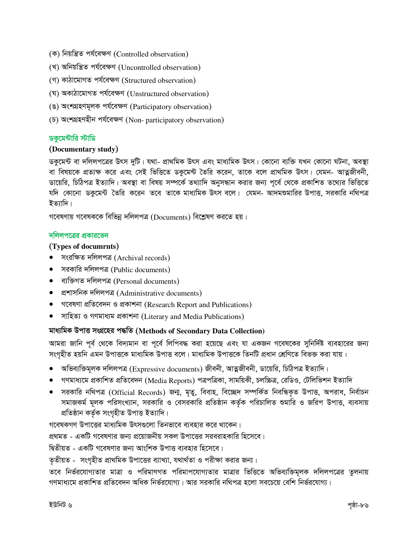- (ক) নিয়ন্ত্ৰিত পৰ্যবেক্ষণ (Controlled observation)
- (খ) অনিয়ন্ত্রিত পর্যবেক্ষণ (Uncontrolled observation)
- (গ) কাঠামোগত পৰ্যবেক্ষণ (Structured observation)
- (ঘ) অকাঠামোগত পৰ্যবেক্ষণ (Unstructured observation)
- (ঙ) অংশগ্ৰহণমূলক পৰ্যবেক্ষণ (Participatory observation)
- (চ) অংশগ্ৰহণহীন পৰ্যবেক্ষণ (Non-participatory observation)

#### ডকুমেন্টারি স্টাডি

## (Documentary study)

ডকুমেন্ট বা দলিলপত্রের উৎস দুটি। যথা- প্রাথমিক উৎস এবং মাধ্যমিক উৎস। কোনো ব্যক্তি যখন কোনো ঘটনা, অবস্থা বা বিষয়কে প্রত্যক্ষ করে এবং সেই ভিত্তিতে ডকুমেন্ট তৈরি করেন, তাকে বলে প্রাথমিক উৎস। যেমন- আত্নজীবনী, ডায়েরি, চিঠিপত্র ইত্যাদি। অবস্থা বা বিষয় সম্পর্কে তথ্যাদি অনুসন্ধান করার জন্য পূর্বে থেকে প্রকাশিত তথ্যের ভিত্তিতে যদি কোনো ডকুমেন্ট তৈরি করেন তবে তাকে মাধ্যমিক উৎস বলে। যেমন- আদমশুমারির উপাত্ত, সরকারি নথিপত্র ইত্যাদি।

গবেষণায় গবেষককে বিভিন্ন দলিলপত্র (Documents) বিশ্লেষণ করতে হয়।

#### দলিলপত্রের প্রকারভেদ

## (Types of documrnts)

- সংরক্ষিত দলিলপত্র (Archival records)
- সরকারি দলিলপত্র (Public documents)
- ব্যক্তিগত দলিলপত্ৰ (Personal documents)
- প্রশাসনিক দলিলপত্র (Administrative documents)
- গবেষণা প্ৰতিবেদন ও প্ৰকাশনা (Research Report and Publications)
- সাহিত্য ও গণমাধ্যম প্ৰকাশনা (Literary and Media Publications)

## মাধ্যমিক উপাত্ত সংগ্ৰহের পদ্ধতি (Methods of Secondary Data Collection)

আমরা জানি পূর্ব থেকে বিদ্যমান বা পূর্বে লিপিবদ্ধ করা হয়েছে এবং যা একজন গবেষকের সুনির্দিষ্ট ব্যবহারের জন্য সংগহীত হয়নি এমন উপাত্তকে মাধ্যমিক উপাত্ত বলে। মাধ্যমিক উপাত্তকে তিনটি প্ৰধান শ্ৰেণিতে বিভক্ত করা যায় :

- $\bullet$  অভিব্যক্তিমূলক দলিলপত্র (Expressive documents) জীবনী, আত্নজীবনী, ডায়েরি, চিঠিপত্র ইত্যাদি।
- গণমাধ্যমে প্রকাশিত প্রতিবেদন (Media Reports) পত্রপত্রিকা, সাময়িকী, চলচ্চিত্র, রেডিও, টেলিভিশন ইত্যাদি
- সরকারি নথিপত্র (Official Records) জন্ম, মৃতু, বিবাহ, বিচ্ছেদ সম্পর্কিত নিবন্ধিকৃত উপাত্ত, অপরাধ, নির্বাচন সমাজকর্ম মূলক পরিসংখ্যান, সরকারি ও বেসরকারি প্রতিষ্ঠান কর্তৃক পরিচালিত শুমারি ও জরিপ উপাত্ত, ব্যবসায় প্ৰতিষ্ঠান কৰ্তৃক সংগৃহীত উপাত্ত ইত্যাদি।

গবেষকগণ উপাত্তের মাধ্যমিক উৎসগুলো তিনভাবে ব্যবহার করে থাকেন।

প্রথমত - একটি গবেষণার জন্য প্রয়োজনীয় সকল উপাত্তের সরবরাহকারি হিসেবে।

দ্বিতীয়ত - একটি গবেষণার জন্য আংশিক উপাত্ত ব্যবহার হিসেবে।

তৃতীয়ত - সংগৃহীত প্রাথমিক উপাত্তের ব্যাখ্যা, যথার্থতা ও পরীক্ষা করার জন্য।

তবে নির্ভরযোগ্যতার মাত্রা ও পরিমাণগত পরিমাপযোগ্যতার মাত্রার ভিত্তিতে অভিব্যক্তিমূলক দলিলপত্রের তুলনায় গণমাধ্যমে প্রকাশিত প্রতিবেদন অধিক নির্ভরযোগ্য। আর সরকারি নথিপত্র হলো সবচেয়ে বেশি নির্ভরযোগ্য।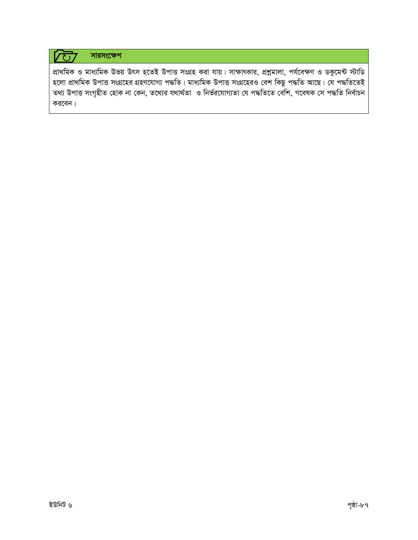#### <u>VO7</u> সারসংক্ষেপ

প্রাথমিক ও মাধ্যমিক উভয় উৎস হতেই উপাত্ত সংগ্রহ করা যায়। সাক্ষাৎকার, প্রশ্নমালা, পর্যবেক্ষণ ও ডকুমেন্ট স্টাডি হলো প্ৰাথমিক উপাত্ত সংগ্ৰহের গ্ৰহণযোগ্য পদ্ধতি। মাধ্যমিক উপাত্ত সংগ্ৰহেরও বেশ কিছু পদ্ধতি আছে। যে পদ্ধতিতেই তথ্য উপাত্ত সংগৃহীত হোক না কেন, তথ্যের যথার্থতা ও নির্ভরযোগ্যতা যে পদ্ধতিতে বেশি, গবেষক সে পদ্ধতি নির্বাচন করবেন।